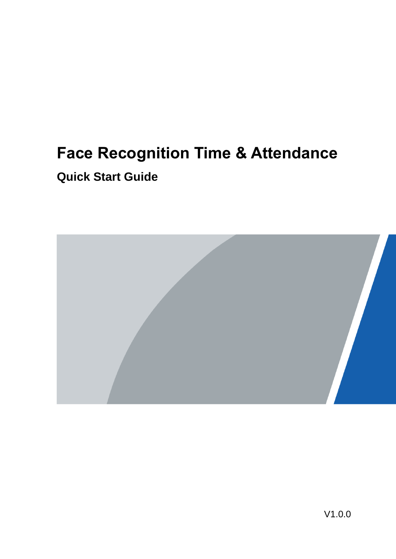# **Face Recognition Time & Attendance Quick Start Guide**

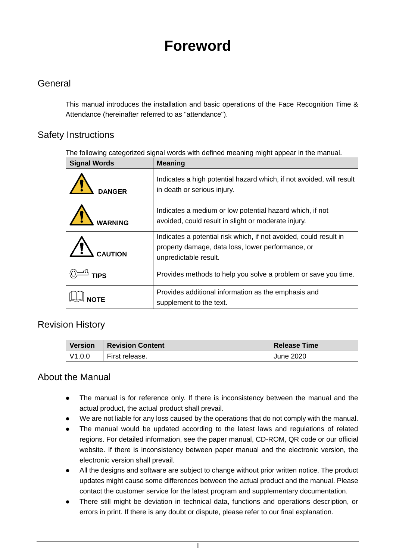# **Foreword**

## <span id="page-1-0"></span>**General**

This manual introduces the installation and basic operations of the Face Recognition Time & Attendance (hereinafter referred to as "attendance").

### Safety Instructions

The following categorized signal words with defined meaning might appear in the manual.

| <b>Signal Words</b> | <b>Meaning</b>                                                                                                                                  |
|---------------------|-------------------------------------------------------------------------------------------------------------------------------------------------|
| <b>DANGER</b>       | Indicates a high potential hazard which, if not avoided, will result<br>in death or serious injury.                                             |
|                     | Indicates a medium or low potential hazard which, if not<br>avoided, could result in slight or moderate injury.                                 |
|                     | Indicates a potential risk which, if not avoided, could result in<br>property damage, data loss, lower performance, or<br>unpredictable result. |
| <b>TIPS</b>         | Provides methods to help you solve a problem or save you time.                                                                                  |
|                     | Provides additional information as the emphasis and<br>supplement to the text.                                                                  |

### Revision History

| <b>Version</b>       | <b>Revision Content</b> | <b>Release Time</b> |
|----------------------|-------------------------|---------------------|
| $\overline{V}$ 1.0.0 | First release.          | June 2020           |

## About the Manual

- The manual is for reference only. If there is inconsistency between the manual and the actual product, the actual product shall prevail.
- We are not liable for any loss caused by the operations that do not comply with the manual.
- The manual would be updated according to the latest laws and regulations of related regions. For detailed information, see the paper manual, CD-ROM, QR code or our official website. If there is inconsistency between paper manual and the electronic version, the electronic version shall prevail.
- All the designs and software are subject to change without prior written notice. The product updates might cause some differences between the actual product and the manual. Please contact the customer service for the latest program and supplementary documentation.
- There still might be deviation in technical data, functions and operations description, or errors in print. If there is any doubt or dispute, please refer to our final explanation.
	- I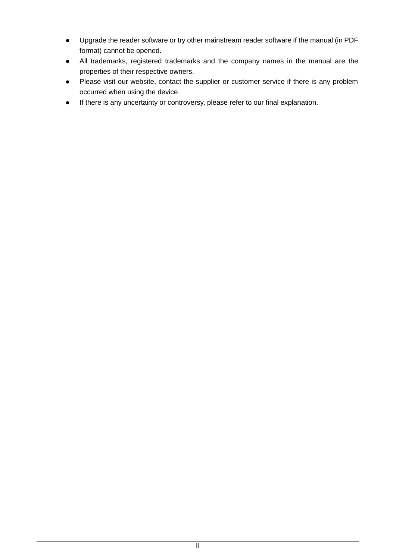- Upgrade the reader software or try other mainstream reader software if the manual (in PDF format) cannot be opened.
- All trademarks, registered trademarks and the company names in the manual are the properties of their respective owners.
- Please visit our website, contact the supplier or customer service if there is any problem occurred when using the device.
- If there is any uncertainty or controversy, please refer to our final explanation.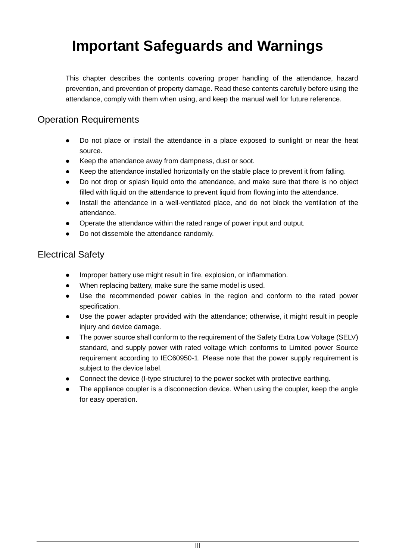# <span id="page-3-0"></span>**Important Safeguards and Warnings**

This chapter describes the contents covering proper handling of the attendance, hazard prevention, and prevention of property damage. Read these contents carefully before using the attendance, comply with them when using, and keep the manual well for future reference.

### Operation Requirements

- Do not place or install the attendance in a place exposed to sunlight or near the heat source.
- Keep the attendance away from dampness, dust or soot.
- Keep the attendance installed horizontally on the stable place to prevent it from falling.
- Do not drop or splash liquid onto the attendance, and make sure that there is no object filled with liquid on the attendance to prevent liquid from flowing into the attendance.
- Install the attendance in a well-ventilated place, and do not block the ventilation of the attendance.
- Operate the attendance within the rated range of power input and output.
- Do not dissemble the attendance randomly.

### Electrical Safety

- Improper battery use might result in fire, explosion, or inflammation.
- When replacing battery, make sure the same model is used.
- Use the recommended power cables in the region and conform to the rated power specification.
- Use the power adapter provided with the attendance; otherwise, it might result in people injury and device damage.
- The power source shall conform to the requirement of the Safety Extra Low Voltage (SELV) standard, and supply power with rated voltage which conforms to Limited power Source requirement according to IEC60950-1. Please note that the power supply requirement is subject to the device label.
- Connect the device (I-type structure) to the power socket with protective earthing.
- The appliance coupler is a disconnection device. When using the coupler, keep the angle for easy operation.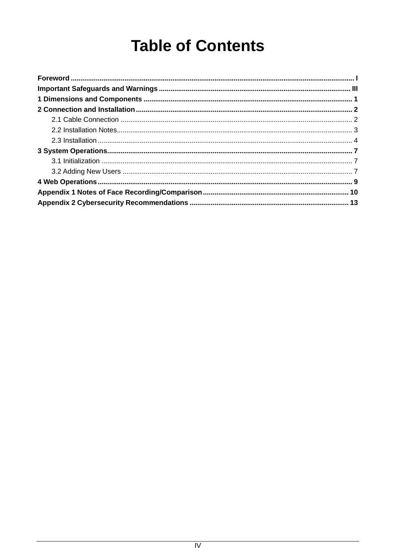# **Table of Contents**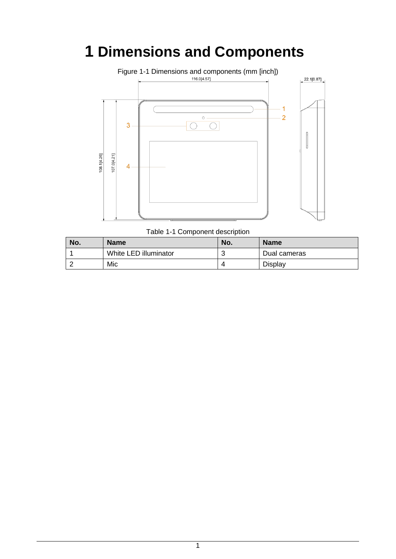# <span id="page-5-0"></span>**1 Dimensions and Components**



Table 1-1 Component description

| No. | <b>Name</b>           | No. | <b>Name</b>  |
|-----|-----------------------|-----|--------------|
|     | White LED illuminator |     | Dual cameras |
|     | Mic                   |     | Display      |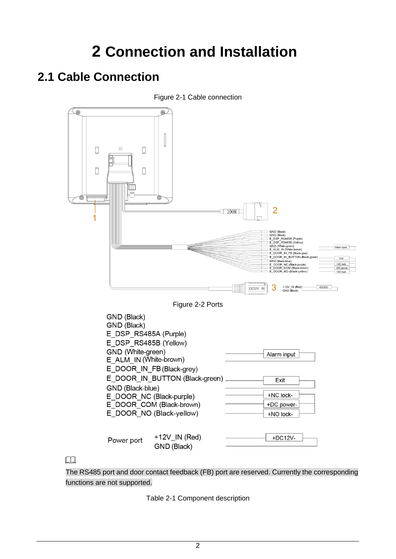# **2 Connection and Installation**

# <span id="page-6-1"></span><span id="page-6-0"></span>**2.1 Cable Connection**



The RS485 port and door contact feedback (FB) port are reserved. Currently the corresponding functions are not supported.

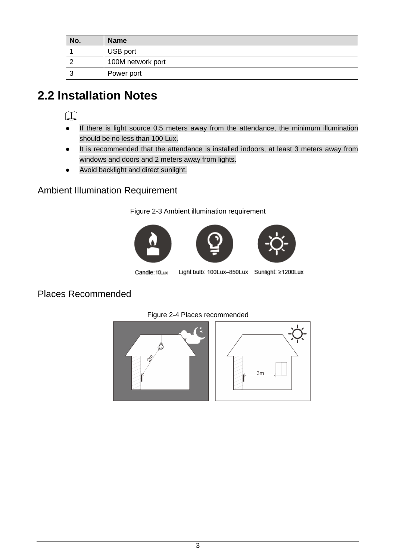| No. | <b>Name</b>       |
|-----|-------------------|
|     | USB port          |
|     | 100M network port |
|     | Power port        |

# <span id="page-7-0"></span>**2.2 Installation Notes**

## $\Box$

- If there is light source 0.5 meters away from the attendance, the minimum illumination should be no less than 100 Lux.
- It is recommended that the attendance is installed indoors, at least 3 meters away from windows and doors and 2 meters away from lights.
- Avoid backlight and direct sunlight.

## Ambient Illumination Requirement

Figure 2-3 Ambient illumination requirement







Candle: 10Lux

Light bulb: 100Lux-850Lux Sunlight: ≥1200Lux

## Places Recommended



#### Figure 2-4 Places recommended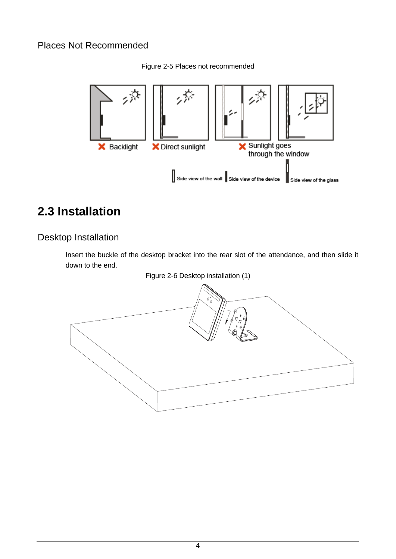## Places Not Recommended

Figure 2-5 Places not recommended



# <span id="page-8-0"></span>**2.3 Installation**

# Desktop Installation

Insert the buckle of the desktop bracket into the rear slot of the attendance, and then slide it down to the end.

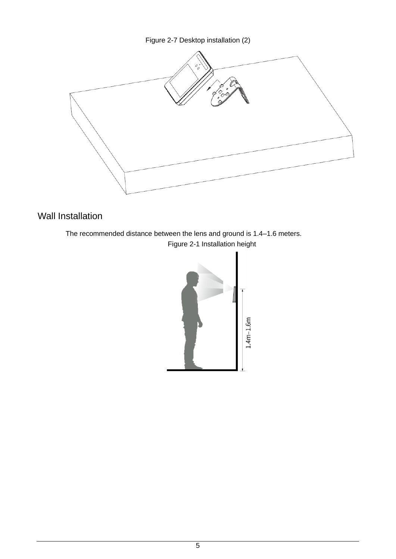Figure 2-7 Desktop installation (2)



# Wall Installation

The recommended distance between the lens and ground is 1.4–1.6 meters. Figure 2-1 Installation height

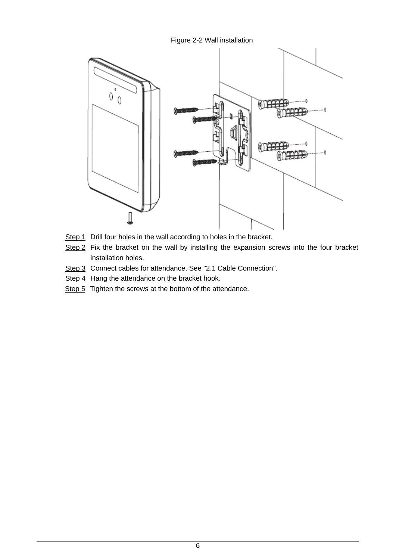Figure 2-2 Wall installation



- Step 1 Drill four holes in the wall according to holes in the bracket.
- Step 2 Fix the bracket on the wall by installing the expansion screws into the four bracket installation holes.
- Step 3 Connect cables for attendance. See ["2.1](#page-6-1) [Cable Connection"](#page-6-1).
- Step 4 Hang the attendance on the bracket hook.
- Step 5 Tighten the screws at the bottom of the attendance.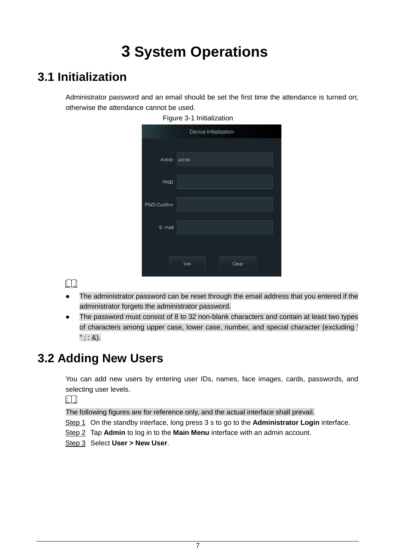# **3 System Operations**

# <span id="page-11-1"></span><span id="page-11-0"></span>**3.1 Initialization**

Administrator password and an email should be set the first time the attendance is turned on; otherwise the attendance cannot be used.

|             | 1 1941 <del>0 0 1 11 11 11 11 12 11 10 11</del> |
|-------------|-------------------------------------------------|
|             | Device Initialization                           |
|             |                                                 |
| Admin       | admin                                           |
|             |                                                 |
| <b>PWD</b>  |                                                 |
| PWD Confirm |                                                 |
|             |                                                 |
| E-mail      |                                                 |
|             |                                                 |
|             | Clear<br>Yes                                    |

Figure 3-1 Initialization

 $\Box$ 

- The administrator password can be reset through the email address that you entered if the administrator forgets the administrator password.
- The password must consist of 8 to 32 non-blank characters and contain at least two types of characters among upper case, lower case, number, and special character (excluding '  $"$ ; : &).

# <span id="page-11-2"></span>**3.2 Adding New Users**

You can add new users by entering user IDs, names, face images, cards, passwords, and selecting user levels.

 $\Box$ 

The following figures are for reference only, and the actual interface shall prevail.

- Step 1 On the standby interface, long press 3 s to go to the **Administrator Login** interface.
- Step 2 Tap **Admin** to log in to the **Main Menu** interface with an admin account.
- Step 3 Select **User > New User**.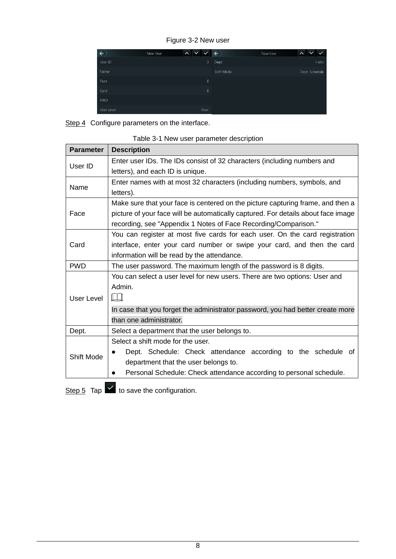Figure 3-2 New user

| $\leftarrow$ | New User | $\checkmark$<br>$\sim$ | ←          | New User | $\checkmark$   |
|--------------|----------|------------------------|------------|----------|----------------|
| User ID      |          | 3                      | Dept.      |          | $1$ -abc       |
| Name         |          |                        | Shift Mode |          | Dept. Schedule |
| Face         |          | 0                      |            |          |                |
| Card         |          | $\mathbf{0}$           |            |          |                |
| PWD          |          |                        |            |          |                |
| User Level   |          | User                   |            |          |                |

Step 4 Configure parameters on the interface.

| <b>Parameter</b> | <b>Description</b>                                                                |  |  |  |
|------------------|-----------------------------------------------------------------------------------|--|--|--|
| User ID          | Enter user IDs. The IDs consist of 32 characters (including numbers and           |  |  |  |
|                  | letters), and each ID is unique.                                                  |  |  |  |
| Name             | Enter names with at most 32 characters (including numbers, symbols, and           |  |  |  |
|                  | letters).                                                                         |  |  |  |
|                  | Make sure that your face is centered on the picture capturing frame, and then a   |  |  |  |
| Face             | picture of your face will be automatically captured. For details about face image |  |  |  |
|                  | recording, see "Appendix 1 Notes of Face Recording/Comparison."                   |  |  |  |
|                  | You can register at most five cards for each user. On the card registration       |  |  |  |
| Card             | interface, enter your card number or swipe your card, and then the card           |  |  |  |
|                  | information will be read by the attendance.                                       |  |  |  |
| <b>PWD</b>       | The user password. The maximum length of the password is 8 digits.                |  |  |  |
|                  | You can select a user level for new users. There are two options: User and        |  |  |  |
|                  | Admin.                                                                            |  |  |  |
| User Level       | $\Box$                                                                            |  |  |  |
|                  | In case that you forget the administrator password, you had better create more    |  |  |  |
|                  | than one administrator.                                                           |  |  |  |
| Dept.            | Select a department that the user belongs to.                                     |  |  |  |
|                  | Select a shift mode for the user.                                                 |  |  |  |
|                  | Dept. Schedule: Check attendance according to the schedule of                     |  |  |  |
| Shift Mode       | department that the user belongs to.                                              |  |  |  |
|                  | Personal Schedule: Check attendance according to personal schedule.               |  |  |  |
|                  |                                                                                   |  |  |  |

|  |  | Table 3-1 New user parameter description |  |
|--|--|------------------------------------------|--|
|  |  |                                          |  |

Step 5 Tap  $\leq$  to save the configuration.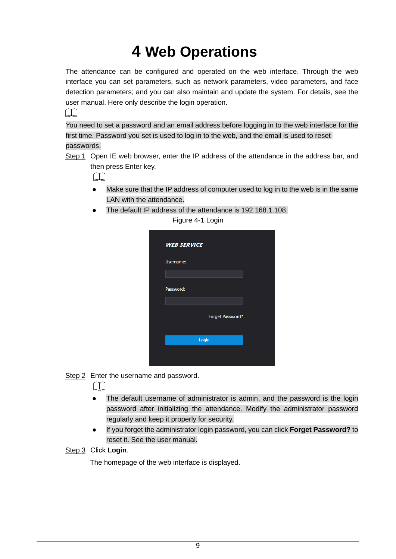# **4 Web Operations**

<span id="page-13-0"></span>The attendance can be configured and operated on the web interface. Through the web interface you can set parameters, such as network parameters, video parameters, and face detection parameters; and you can also maintain and update the system. For details, see the user manual. Here only describe the login operation.

 $\Box$ 

You need to set a password and an email address before logging in to the web interface for the first time. Password you set is used to log in to the web, and the email is used to reset passwords.

Step 1 Open IE web browser, enter the IP address of the attendance in the address bar, and then press Enter key.

 $\Box$ 

- Make sure that the IP address of computer used to log in to the web is in the same LAN with the attendance.
- The default IP address of the attendance is 192.168.1.108.

| <b>WEB SERVICE</b> |                         |  |
|--------------------|-------------------------|--|
| Username:          |                         |  |
|                    |                         |  |
| Password:          |                         |  |
|                    | <b>Forget Password?</b> |  |
|                    |                         |  |
|                    | Login                   |  |

Figure 4-1 Login

Step 2 Enter the username and password.

 $\Box$ 

- The default username of administrator is admin, and the password is the login password after initializing the attendance. Modify the administrator password regularly and keep it properly for security.
- If you forget the administrator login password, you can click **Forget Password?** to reset it. See the user manual.

Step 3 Click **Login**.

The homepage of the web interface is displayed.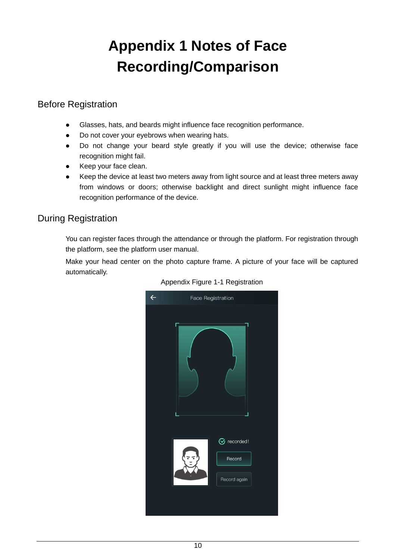# **Appendix 1 Notes of Face Recording/Comparison**

# <span id="page-14-0"></span>Before Registration

- Glasses, hats, and beards might influence face recognition performance.
- Do not cover your eyebrows when wearing hats.
- Do not change your beard style greatly if you will use the device; otherwise face recognition might fail.
- Keep your face clean.
- Keep the device at least two meters away from light source and at least three meters away from windows or doors; otherwise backlight and direct sunlight might influence face recognition performance of the device.

# During Registration

You can register faces through the attendance or through the platform. For registration through the platform, see the platform user manual.

Make your head center on the photo capture frame. A picture of your face will be captured automatically.



#### Appendix Figure 1-1 Registration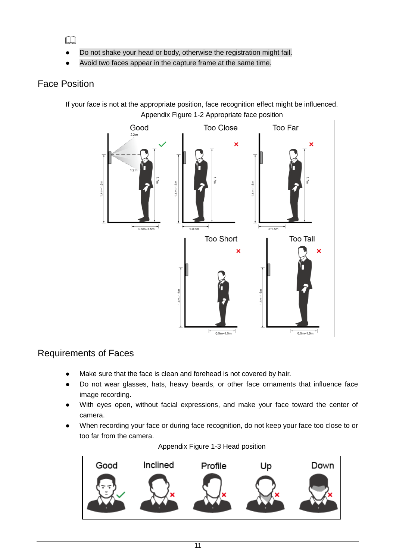$\square$ 

- Do not shake your head or body, otherwise the registration might fail.
- Avoid two faces appear in the capture frame at the same time.

# Face Position

If your face is not at the appropriate position, face recognition effect might be influenced. Appendix Figure 1-2 Appropriate face position



## Requirements of Faces

- Make sure that the face is clean and forehead is not covered by hair.
- Do not wear glasses, hats, heavy beards, or other face ornaments that influence face image recording.
- With eyes open, without facial expressions, and make your face toward the center of camera.
- When recording your face or during face recognition, do not keep your face too close to or too far from the camera.



#### Appendix Figure 1-3 Head position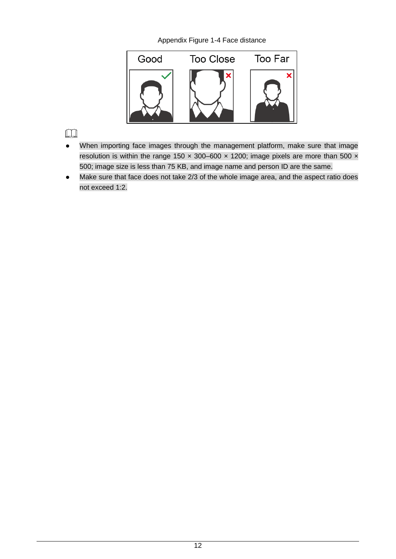Appendix Figure 1-4 Face distance



### $\Box$

- When importing face images through the management platform, make sure that image resolution is within the range 150  $\times$  300–600  $\times$  1200; image pixels are more than 500  $\times$ 500; image size is less than 75 KB, and image name and person ID are the same.
- Make sure that face does not take 2/3 of the whole image area, and the aspect ratio does not exceed 1:2.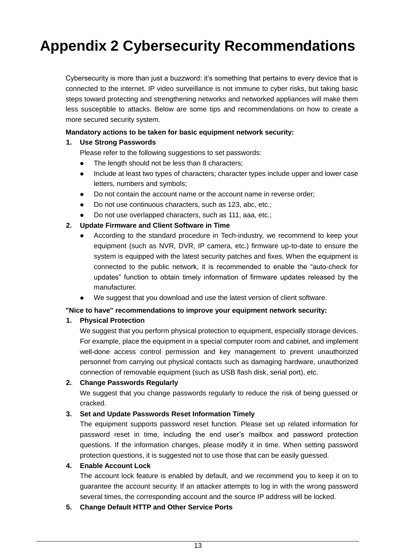# <span id="page-17-0"></span>**Appendix 2 Cybersecurity Recommendations**

Cybersecurity is more than just a buzzword: it's something that pertains to every device that is connected to the internet. IP video surveillance is not immune to cyber risks, but taking basic steps toward protecting and strengthening networks and networked appliances will make them less susceptible to attacks. Below are some tips and recommendations on how to create a more secured security system.

#### **Mandatory actions to be taken for basic equipment network security:**

#### **1. Use Strong Passwords**

Please refer to the following suggestions to set passwords:

- The length should not be less than 8 characters;
- Include at least two types of characters; character types include upper and lower case letters, numbers and symbols;
- Do not contain the account name or the account name in reverse order;
- Do not use continuous characters, such as 123, abc, etc.;
- Do not use overlapped characters, such as 111, aaa, etc.;

#### **2. Update Firmware and Client Software in Time**

- According to the standard procedure in Tech-industry, we recommend to keep your equipment (such as NVR, DVR, IP camera, etc.) firmware up-to-date to ensure the system is equipped with the latest security patches and fixes. When the equipment is connected to the public network, it is recommended to enable the "auto-check for updates" function to obtain timely information of firmware updates released by the manufacturer.
- We suggest that you download and use the latest version of client software.

#### **"Nice to have" recommendations to improve your equipment network security:**

#### **1. Physical Protection**

We suggest that you perform physical protection to equipment, especially storage devices. For example, place the equipment in a special computer room and cabinet, and implement well-done access control permission and key management to prevent unauthorized personnel from carrying out physical contacts such as damaging hardware, unauthorized connection of removable equipment (such as USB flash disk, serial port), etc.

#### **2. Change Passwords Regularly**

We suggest that you change passwords regularly to reduce the risk of being guessed or cracked.

#### **3. Set and Update Passwords Reset Information Timely**

The equipment supports password reset function. Please set up related information for password reset in time, including the end user's mailbox and password protection questions. If the information changes, please modify it in time. When setting password protection questions, it is suggested not to use those that can be easily guessed.

#### **4. Enable Account Lock**

The account lock feature is enabled by default, and we recommend you to keep it on to guarantee the account security. If an attacker attempts to log in with the wrong password several times, the corresponding account and the source IP address will be locked.

#### **5. Change Default HTTP and Other Service Ports**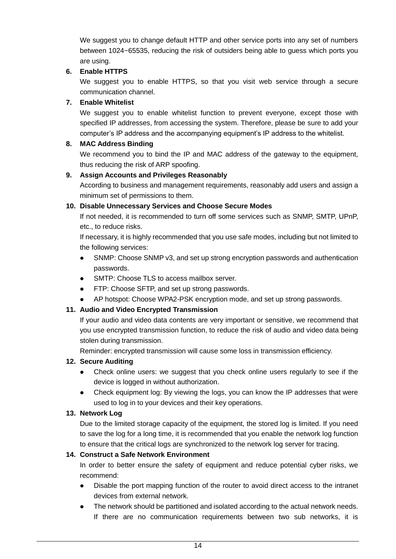We suggest you to change default HTTP and other service ports into any set of numbers between 1024~65535, reducing the risk of outsiders being able to guess which ports you are using.

#### **6. Enable HTTPS**

We suggest you to enable HTTPS, so that you visit web service through a secure communication channel.

#### **7. Enable Whitelist**

We suggest you to enable whitelist function to prevent everyone, except those with specified IP addresses, from accessing the system. Therefore, please be sure to add your computer's IP address and the accompanying equipment's IP address to the whitelist.

#### **8. MAC Address Binding**

We recommend you to bind the IP and MAC address of the gateway to the equipment, thus reducing the risk of ARP spoofing.

#### **9. Assign Accounts and Privileges Reasonably**

According to business and management requirements, reasonably add users and assign a minimum set of permissions to them.

#### **10. Disable Unnecessary Services and Choose Secure Modes**

If not needed, it is recommended to turn off some services such as SNMP, SMTP, UPnP, etc., to reduce risks.

If necessary, it is highly recommended that you use safe modes, including but not limited to the following services:

- SNMP: Choose SNMP v3, and set up strong encryption passwords and authentication passwords.
- SMTP: Choose TLS to access mailbox server.
- FTP: Choose SFTP, and set up strong passwords.
- AP hotspot: Choose WPA2-PSK encryption mode, and set up strong passwords.

#### **11. Audio and Video Encrypted Transmission**

If your audio and video data contents are very important or sensitive, we recommend that you use encrypted transmission function, to reduce the risk of audio and video data being stolen during transmission.

Reminder: encrypted transmission will cause some loss in transmission efficiency.

#### **12. Secure Auditing**

- Check online users: we suggest that you check online users regularly to see if the device is logged in without authorization.
- Check equipment log: By viewing the logs, you can know the IP addresses that were used to log in to your devices and their key operations.

#### **13. Network Log**

Due to the limited storage capacity of the equipment, the stored log is limited. If you need to save the log for a long time, it is recommended that you enable the network log function to ensure that the critical logs are synchronized to the network log server for tracing.

#### **14. Construct a Safe Network Environment**

In order to better ensure the safety of equipment and reduce potential cyber risks, we recommend:

- Disable the port mapping function of the router to avoid direct access to the intranet devices from external network.
- The network should be partitioned and isolated according to the actual network needs. If there are no communication requirements between two sub networks, it is